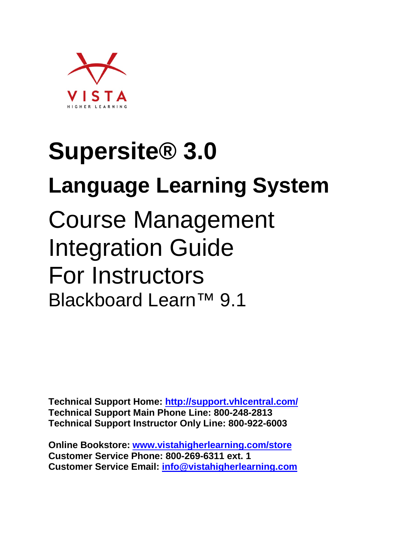

# **Supersite® 3.0 Language Learning System**  Course Management Integration Guide For Instructors Blackboard Learn™ 9.1

**Technical Support Home:<http://support.vhlcentral.com/> Technical Support Main Phone Line: 800-248-2813 Technical Support Instructor Only Line: 800-922-6003** 

**Online Bookstore: [www.vistahigherlearning.com/store](http://www.vistahigherlearning.com/store)  Customer Service Phone: 800-269-6311 ext. 1 Customer Service Email: [info@vistahigherlearning.com](mailto:info@vistahigherlearning.com)**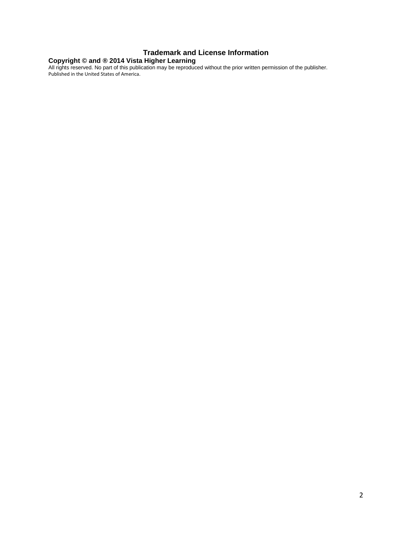#### **Trademark and License Information**

#### **Copyright © and ® 2014 Vista Higher Learning**

All rights reserved. No part of this publication may be reproduced without the prior written permission of the publisher. Published in the United States of America.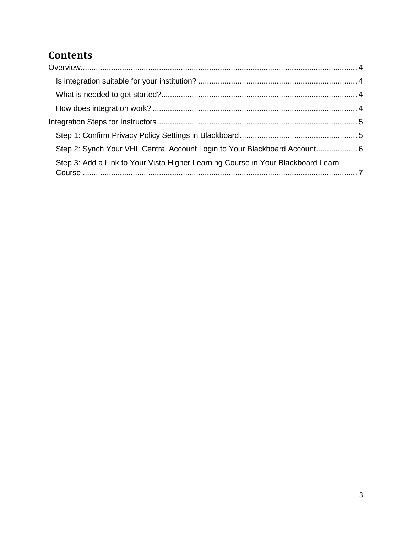# **Contents**

| Step 2: Synch Your VHL Central Account Login to Your Blackboard Account 6        |  |
|----------------------------------------------------------------------------------|--|
| Step 3: Add a Link to Your Vista Higher Learning Course in Your Blackboard Learn |  |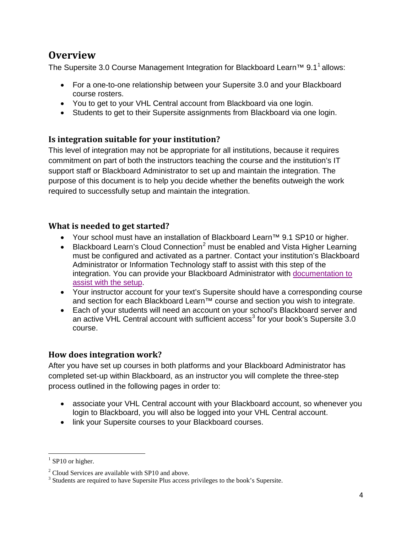## <span id="page-3-0"></span>**Overview**

The Supersite 3.0 Course Management Integration for Blackboard Learn<sup>™</sup> 9.[1](#page-3-4)<sup>1</sup> allows:

- For a one-to-one relationship between your Supersite 3.0 and your Blackboard course rosters.
- You to get to your VHL Central account from Blackboard via one login.
- Students to get to their Supersite assignments from Blackboard via one login.

#### <span id="page-3-1"></span>**Is integration suitable for your institution?**

This level of integration may not be appropriate for all institutions, because it requires commitment on part of both the instructors teaching the course and the institution's IT support staff or Blackboard Administrator to set up and maintain the integration. The purpose of this document is to help you decide whether the benefits outweigh the work required to successfully setup and maintain the integration.

#### <span id="page-3-2"></span>**What is needed to get started?**

- Your school must have an installation of Blackboard Learn™ 9.1 SP10 or higher.
- Blackboard Learn's Cloud Connection<sup>[2](#page-3-5)</sup> must be enabled and Vista Higher Learning must be configured and activated as a partner. Contact your institution's Blackboard Administrator or Information Technology staff to assist with this step of the integration. You can provide your Blackboard Administrator with documentation to [assist with the setup.](https://vistahigherlearning.zendesk.com/hc/en-us/articles/215697977)
- Your instructor account for your text's Supersite should have a corresponding course and section for each Blackboard Learn™ course and section you wish to integrate.
- Each of your students will need an account on your school's Blackboard server and an active VHL Central account with sufficient  $access<sup>3</sup>$  $access<sup>3</sup>$  $access<sup>3</sup>$  for your book's Supersite 3.0 course.

#### <span id="page-3-3"></span>**How does integration work?**

After you have set up courses in both platforms and your Blackboard Administrator has completed set-up within Blackboard, as an instructor you will complete the three-step process outlined in the following pages in order to:

- associate your VHL Central account with your Blackboard account, so whenever you login to Blackboard, you will also be logged into your VHL Central account.
- link your Supersite courses to your Blackboard courses.

<span id="page-3-4"></span> $1$  SP10 or higher.

<span id="page-3-5"></span> $2$  Cloud Services are available with SP10 and above.

<span id="page-3-6"></span><sup>&</sup>lt;sup>3</sup> Students are required to have Supersite Plus access privileges to the book's Supersite.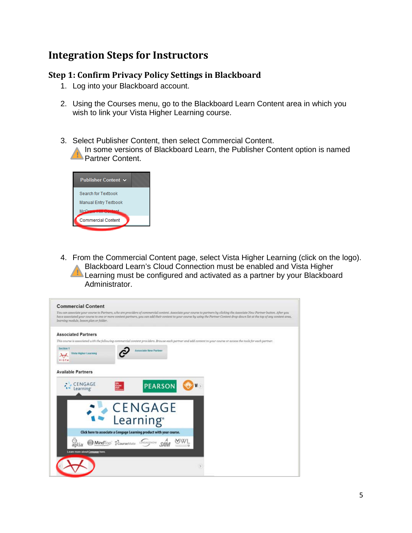## <span id="page-4-0"></span>**Integration Steps for Instructors**

#### <span id="page-4-1"></span>**Step 1: Confirm Privacy Policy Settings in Blackboard**

- 1. Log into your Blackboard account.
- 2. Using the Courses menu, go to the Blackboard Learn Content area in which you wish to link your Vista Higher Learning course.
- 3. Select Publisher Content, then select Commercial Content.

In some versions of Blackboard Learn, the Publisher Content option is named Partner Content. !



4. From the Commercial Content page, select Vista Higher Learning (click on the logo). Blackboard Learn's Cloud Connection must be enabled and Vista Higher Learning must be configured and activated as a partner by your Blackboard Administrator. !

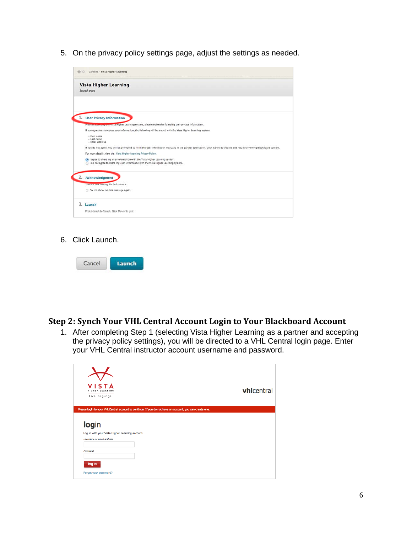5. On the privacy policy settings page, adjust the settings as needed.

| Content > Vista Higher Learning                                                                                                                                                  |
|----------------------------------------------------------------------------------------------------------------------------------------------------------------------------------|
| <b>Vista Higher Learning</b><br>Launch page                                                                                                                                      |
|                                                                                                                                                                                  |
| 1. User Privacy Information                                                                                                                                                      |
| Prior to accessing the vista Higher Learning system, please review the following user privacy information.                                                                       |
| If you agree to share your user information, the following will be shared with the Vista Higher Learning system:                                                                 |
| - First name<br>- Last name<br>- Ernail address                                                                                                                                  |
| If you do not agree, you will be prompted to fill in the user information manually in the partner application. Click Cancel to decline and return to viewing Blackboard content. |
| For more details, view the Vista Higher Learning Privacy Policy.                                                                                                                 |
| I agree to share my user information with the Vista Higher Learning system.<br>1 do not agree to share my user information with the Vista Higher Learning system.                |
| 2. Acknowledgment                                                                                                                                                                |
| You are now leaving Bb. Safe travels.                                                                                                                                            |
| Do not show me this message again.                                                                                                                                               |
| 3. Launch                                                                                                                                                                        |
| Click Launch to launch. Click Cancel to quit.                                                                                                                                    |

6. Click Launch.

| <b>STATISTICS</b><br>$[$ ancel | 17.<br><b>TIME</b><br>٠ |
|--------------------------------|-------------------------|
|--------------------------------|-------------------------|

#### <span id="page-5-0"></span>**Step 2: Synch Your VHL Central Account Login to Your Blackboard Account**

1. After completing Step 1 (selecting Vista Higher Learning as a partner and accepting the privacy policy settings), you will be directed to a VHL Central login page. Enter your VHL Central instructor account username and password.

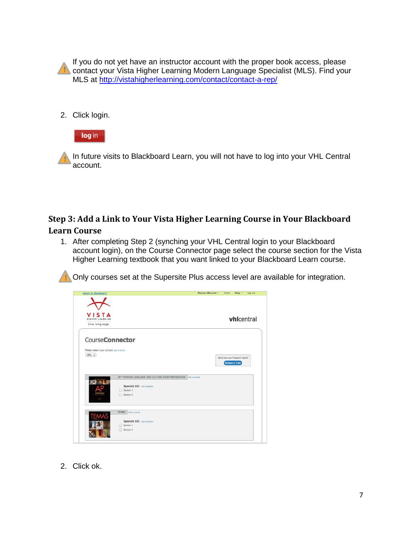If you do not yet have an instructor account with the proper book access, please contact your Vista Higher Learning Modern Language Specialist (MLS). Find your MLS at<http://vistahigherlearning.com/contact/contact-a-rep/> !

2. Click login.



In future visits to Blackboard Learn, you will not have to log into your VHL Central account. !

# <span id="page-6-0"></span>**Step 3: Add a Link to Your Vista Higher Learning Course in Your Blackboard**

#### **Learn Course**

1. After completing Step 2 (synching your VHL Central login to your Blackboard account login), on the Course Connector page select the course section for the Vista Higher Learning textbook that you want linked to your Blackboard Learn course.

Only courses set at the Supersite Plus access level are available for integration. !

| return to Blackboard                                                       |                                                                                                                             | Shanon Nitzsche *<br>Help *<br>Log out<br>Home  |
|----------------------------------------------------------------------------|-----------------------------------------------------------------------------------------------------------------------------|-------------------------------------------------|
| <b>VISTA</b><br>Live language.                                             |                                                                                                                             | vhicentral                                      |
| <b>CourseConnector</b><br>Please select your school: add a school<br>VHL : |                                                                                                                             | Don't see your Program listed?<br>Redeem a Code |
|                                                                            | AP* SPANISH LANGUAGE AND CULTURE EXAM PREPARATION<br>add a course.<br>Spanish 101 add a section<br>◯ Section 1<br>Section 2 |                                                 |
|                                                                            | <b>TEMAS</b><br>add a course<br>Spanish 101 add a section<br>Section 1<br>○ Section 2                                       |                                                 |

2. Click ok.